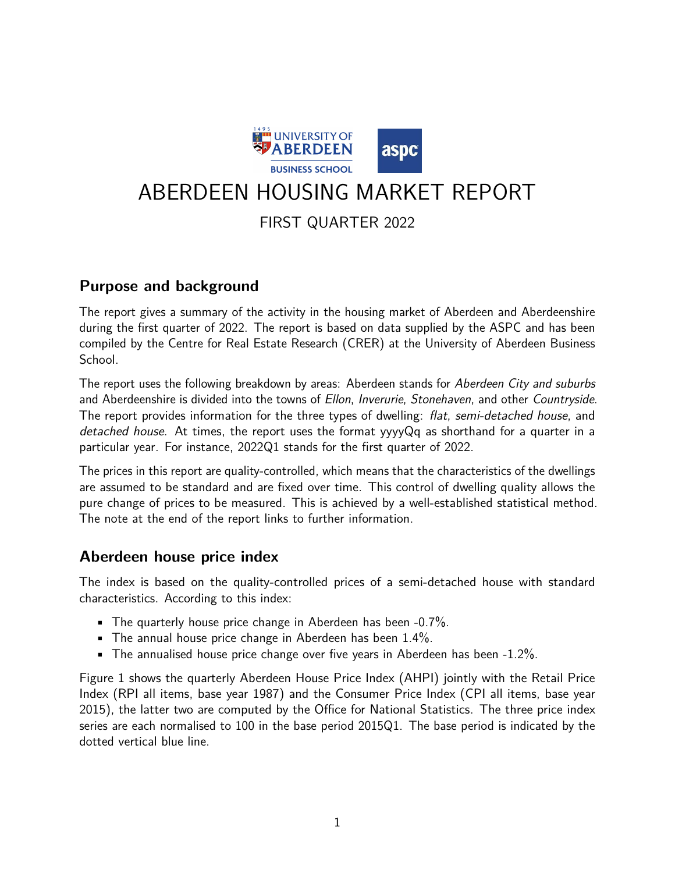

# ABERDEEN HOUSING MARKET REPORT

# FIRST QUARTER 2022

## **Purpose and background**

The report gives a summary of the activity in the housing market of Aberdeen and Aberdeenshire during the first quarter of 2022. The report is based on data supplied by the ASPC and has been compiled by the Centre for Real Estate Research (CRER) at the University of Aberdeen Business School.

The report uses the following breakdown by areas: Aberdeen stands for Aberdeen City and suburbs and Aberdeenshire is divided into the towns of Ellon, Inverurie, Stonehaven, and other Countryside. The report provides information for the three types of dwelling: *flat, semi-detached house*, and detached house. At times, the report uses the format yyyyQq as shorthand for a quarter in a particular year. For instance, 2022Q1 stands for the first quarter of 2022.

The prices in this report are quality-controlled, which means that the characteristics of the dwellings are assumed to be standard and are fixed over time. This control of dwelling quality allows the pure change of prices to be measured. This is achieved by a well-established statistical method. The note at the end of the report links to further information.

### **Aberdeen house price index**

The index is based on the quality-controlled prices of a semi-detached house with standard characteristics. According to this index:

- **•** The quarterly house price change in Aberdeen has been  $-0.7\%$ .
- **•** The annual house price change in Aberdeen has been  $1.4\%$ .
- $\blacksquare$  The annualised house price change over five years in Aberdeen has been -1.2%.

Figure 1 shows the quarterly Aberdeen House Price Index (AHPI) jointly with the Retail Price Index (RPI all items, base year 1987) and the Consumer Price Index (CPI all items, base year 2015), the latter two are computed by the Office for National Statistics. The three price index series are each normalised to 100 in the base period 2015Q1. The base period is indicated by the dotted vertical blue line.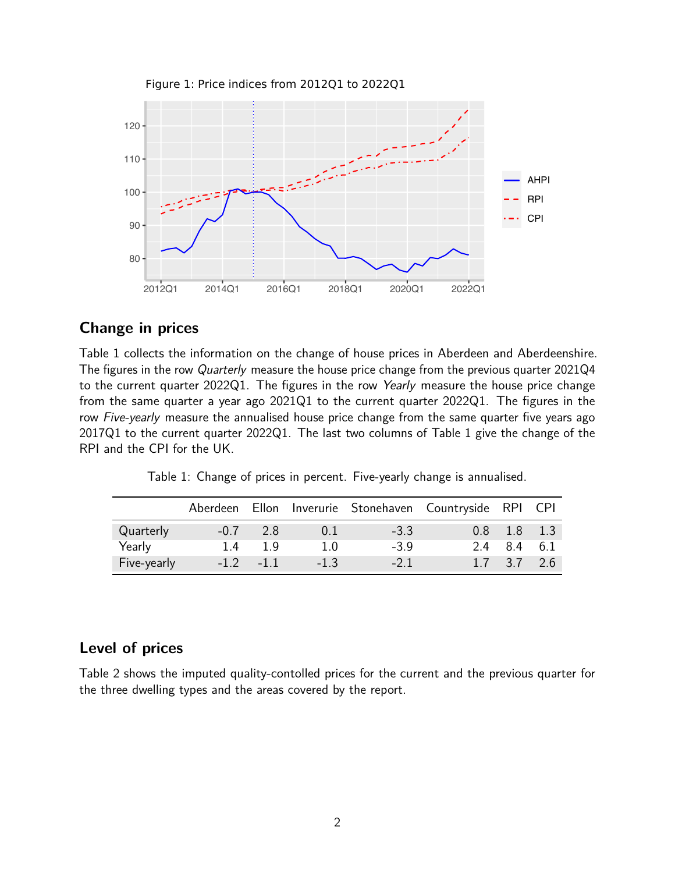

## **Change in prices**

Table 1 collects the information on the change of house prices in Aberdeen and Aberdeenshire. The figures in the row Quarterly measure the house price change from the previous quarter 2021Q4 to the current quarter 2022Q1. The figures in the row Yearly measure the house price change from the same quarter a year ago 2021Q1 to the current quarter 2022Q1. The figures in the row Five-yearly measure the annualised house price change from the same quarter five years ago 2017Q1 to the current quarter 2022Q1. The last two columns of Table 1 give the change of the RPI and the CPI for the UK.

Table 1: Change of prices in percent. Five-yearly change is annualised.

|             | Aberdeen |             |        |        | Ellon Inverurie Stonehaven Countryside RPI CPI |                 |     |
|-------------|----------|-------------|--------|--------|------------------------------------------------|-----------------|-----|
| Quarterly   | $-0.7$   | 2.8         | 0.1    | $-3.3$ |                                                | $0.8$ 1.8 1.3   |     |
| Yearly      | 14       | 1 Q         | 1.0    | $-3.9$ | 24                                             | 8.4 6.1         |     |
| Five-yearly |          | $-1.2 -1.1$ | $-1.3$ | $-21$  |                                                | $1.7 \quad 3.7$ | 2.6 |

#### **Level of prices**

Table 2 shows the imputed quality-contolled prices for the current and the previous quarter for the three dwelling types and the areas covered by the report.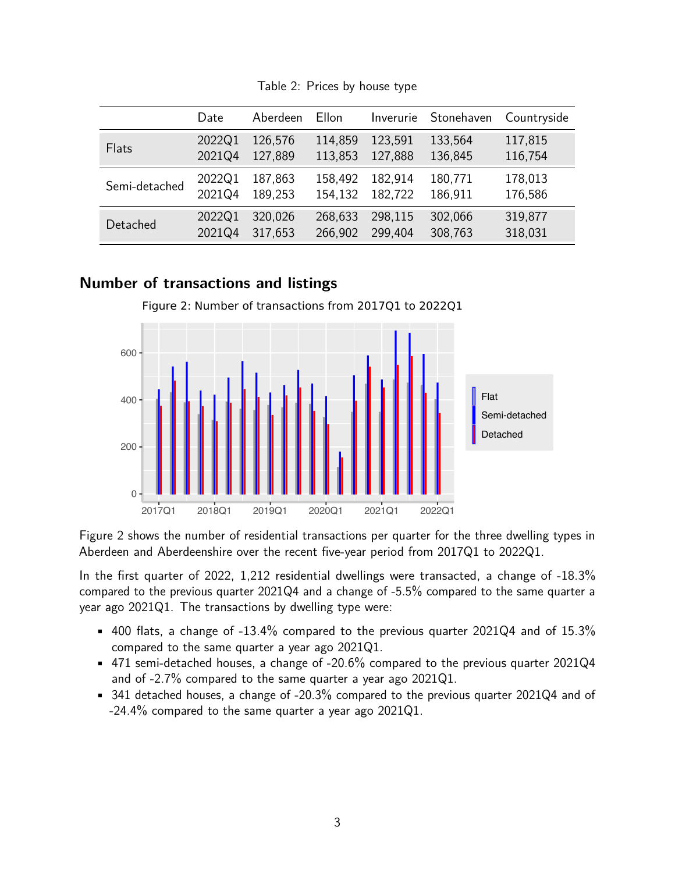|               | Date   | Aberdeen | Ellon   | Inverurie | Stonehaven | Countryside |
|---------------|--------|----------|---------|-----------|------------|-------------|
| Flats         | 2022Q1 | 126,576  | 114,859 | 123,591   | 133,564    | 117,815     |
|               | 2021Q4 | 127,889  | 113,853 | 127,888   | 136,845    | 116,754     |
| Semi-detached | 2022Q1 | 187,863  | 158,492 | 182,914   | 180,771    | 178,013     |
|               | 2021Q4 | 189,253  | 154,132 | 182,722   | 186,911    | 176,586     |
| Detached      | 2022Q1 | 320,026  | 268,633 | 298,115   | 302,066    | 319,877     |
|               | 2021Q4 | 317,653  | 266,902 | 299,404   | 308,763    | 318,031     |

Table 2: Prices by house type

#### **Number of transactions and listings**

Figure 2: Number of transactions from 2017Q1 to 2022Q1



Figure 2 shows the number of residential transactions per quarter for the three dwelling types in Aberdeen and Aberdeenshire over the recent five-year period from 2017Q1 to 2022Q1.

In the first quarter of 2022, 1,212 residential dwellings were transacted, a change of -18.3% compared to the previous quarter 2021Q4 and a change of -5.5% compared to the same quarter a year ago 2021Q1. The transactions by dwelling type were:

- $\bullet$  400 flats, a change of -13.4% compared to the previous quarter 2021Q4 and of 15.3% compared to the same quarter a year ago 2021Q1.
- $\bullet$  471 semi-detached houses, a change of -20.6% compared to the previous quarter 2021Q4 and of -2.7% compared to the same quarter a year ago 2021Q1.
- 341 detached houses, a change of -20.3% compared to the previous quarter 2021Q4 and of -24.4% compared to the same quarter a year ago 2021Q1.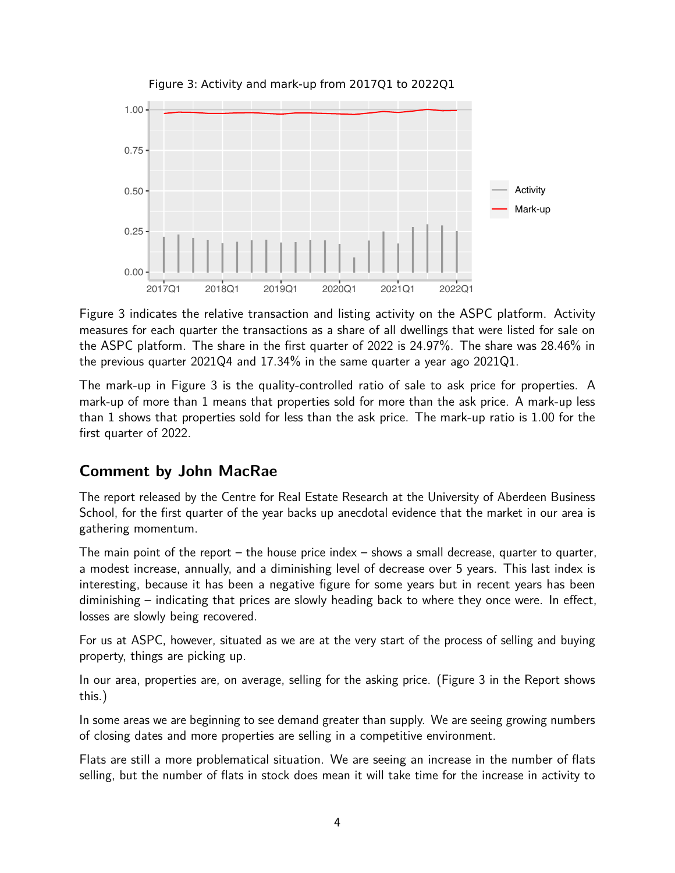

Figure 3: Activity and mark-up from 2017Q1 to 2022Q1

Figure 3 indicates the relative transaction and listing activity on the ASPC platform. Activity measures for each quarter the transactions as a share of all dwellings that were listed for sale on the ASPC platform. The share in the first quarter of 2022 is 24.97%. The share was 28.46% in the previous quarter 2021Q4 and 17.34% in the same quarter a year ago 2021Q1.

The mark-up in Figure 3 is the quality-controlled ratio of sale to ask price for properties. A mark-up of more than 1 means that properties sold for more than the ask price. A mark-up less than 1 shows that properties sold for less than the ask price. The mark-up ratio is 1.00 for the first quarter of 2022.

# **Comment by John MacRae**

The report released by the Centre for Real Estate Research at the University of Aberdeen Business School, for the first quarter of the year backs up anecdotal evidence that the market in our area is gathering momentum.

The main point of the report – the house price index – shows a small decrease, quarter to quarter, a modest increase, annually, and a diminishing level of decrease over 5 years. This last index is interesting, because it has been a negative figure for some years but in recent years has been diminishing – indicating that prices are slowly heading back to where they once were. In effect, losses are slowly being recovered.

For us at ASPC, however, situated as we are at the very start of the process of selling and buying property, things are picking up.

In our area, properties are, on average, selling for the asking price. (Figure 3 in the Report shows this.)

In some areas we are beginning to see demand greater than supply. We are seeing growing numbers of closing dates and more properties are selling in a competitive environment.

Flats are still a more problematical situation. We are seeing an increase in the number of flats selling, but the number of flats in stock does mean it will take time for the increase in activity to